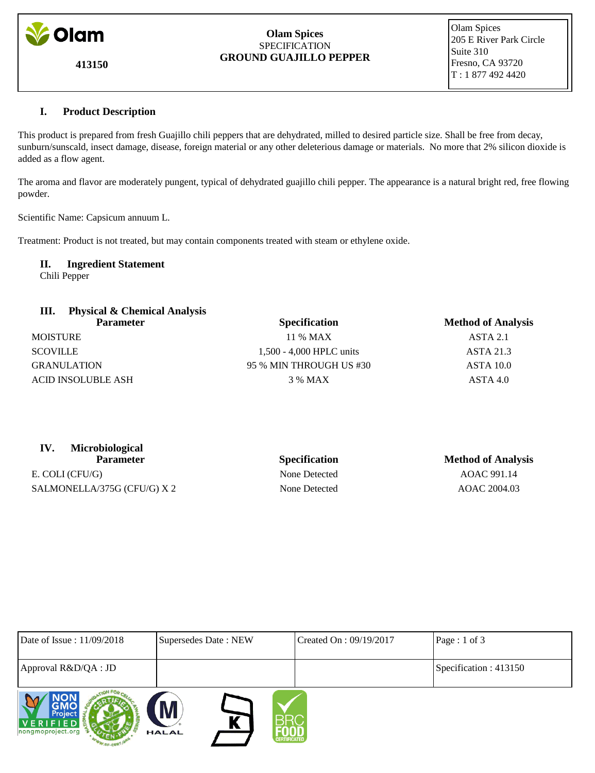

**413150**

#### **Olam Spices SPECIFICATION GROUND GUAJILLO PEPPER**

 Olam Spices 205 E River Park Circle Suite 310 Fresno, CA 93720 T : 1 877 492 4420

### **I. Product Description**

This product is prepared from fresh Guajillo chili peppers that are dehydrated, milled to desired particle size. Shall be free from decay, sunburn/sunscald, insect damage, disease, foreign material or any other deleterious damage or materials. No more that 2% silicon dioxide is added as a flow agent.

The aroma and flavor are moderately pungent, typical of dehydrated guajillo chili pepper. The appearance is a natural bright red, free flowing powder.

Scientific Name: Capsicum annuum L.

Treatment: Product is not treated, but may contain components treated with steam or ethylene oxide.

## **II. Ingredient Statement**

Chili Pepper

| <b>Physical &amp; Chemical Analysis</b><br>Ш. |                          |                           |
|-----------------------------------------------|--------------------------|---------------------------|
| <b>Parameter</b>                              | <b>Specification</b>     | <b>Method of Analysis</b> |
| <b>MOISTURE</b>                               | 11 % MAX                 | ASTA 2.1                  |
| <b>SCOVILLE</b>                               | 1,500 - 4,000 HPLC units | <b>ASTA 21.3</b>          |
| <b>GRANULATION</b>                            | 95 % MIN THROUGH US #30  | <b>ASTA 10.0</b>          |
| <b>ACID INSOLUBLE ASH</b>                     | 3 % MAX                  | ASTA 4.0                  |

| <b>Microbiological</b> |                      |                       |
|------------------------|----------------------|-----------------------|
| <b>Parameter</b>       | <b>Specification</b> | <b>Method of Anal</b> |
| E. COLI (CFU/G)        | None Detected        | AOAC 991.14           |

SALMONELLA/375G (CFU/G) X 2 None Detected AOAC 2004.03

# **Parameter II Parameter Specification Method of Analysis**

| Date of Issue: 11/09/2018                       | Supersedes Date: NEW                          | Created On : 09/19/2017 | Page : 1 of 3          |
|-------------------------------------------------|-----------------------------------------------|-------------------------|------------------------|
| Approval R&D/QA : JD                            |                                               |                         | Specification : 413150 |
| <b>Project</b><br>VERIFIED<br>nongmoproject.org | M<br>R<br><b>HALAL</b><br><b>CERTIFICATED</b> |                         |                        |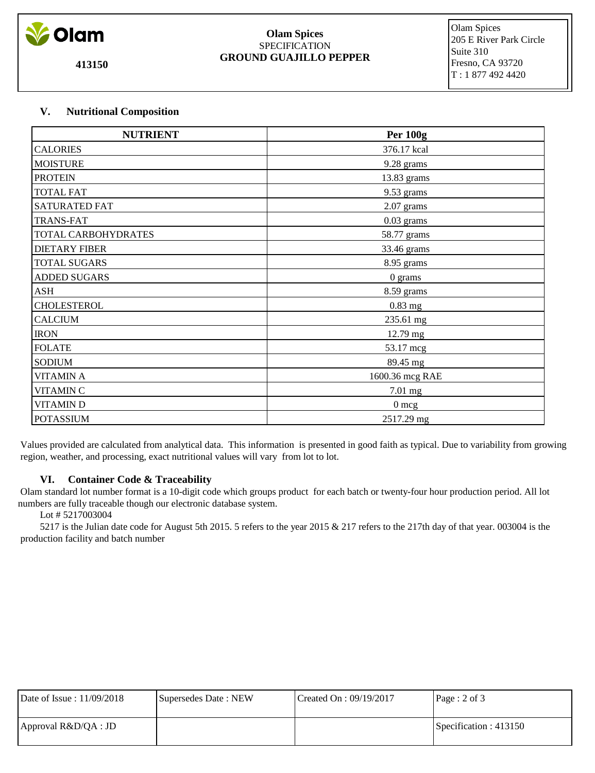

**413150**

#### **Olam Spices** SPECIFICATION **GROUND GUAJILLO PEPPER**

 Olam Spices 205 E River Park Circle Suite 310 Fresno, CA 93720 T : 1 877 492 4420

### **V. Nutritional Composition**

| <b>NUTRIENT</b>      | <b>Per 100g</b> |
|----------------------|-----------------|
| <b>CALORIES</b>      | 376.17 kcal     |
| <b>MOISTURE</b>      | 9.28 grams      |
| <b>PROTEIN</b>       | 13.83 grams     |
| <b>TOTAL FAT</b>     | 9.53 grams      |
| SATURATED FAT        | 2.07 grams      |
| <b>TRANS-FAT</b>     | $0.03$ grams    |
| TOTAL CARBOHYDRATES  | 58.77 grams     |
| <b>DIETARY FIBER</b> | 33.46 grams     |
| <b>TOTAL SUGARS</b>  | 8.95 grams      |
| <b>ADDED SUGARS</b>  | 0 grams         |
| <b>ASH</b>           | 8.59 grams      |
| <b>CHOLESTEROL</b>   | 0.83 mg         |
| <b>CALCIUM</b>       | 235.61 mg       |
| <b>IRON</b>          | 12.79 mg        |
| <b>FOLATE</b>        | 53.17 mcg       |
| <b>SODIUM</b>        | 89.45 mg        |
| <b>VITAMIN A</b>     | 1600.36 mcg RAE |
| <b>VITAMIN C</b>     | 7.01 mg         |
| <b>VITAMIND</b>      | $0 \text{ mcg}$ |
| <b>POTASSIUM</b>     | 2517.29 mg      |

 Values provided are calculated from analytical data. This information is presented in good faith as typical. Due to variability from growing region, weather, and processing, exact nutritional values will vary from lot to lot.

### **VI. Container Code & Traceability**

 Olam standard lot number format is a 10-digit code which groups product for each batch or twenty-four hour production period. All lot numbers are fully traceable though our electronic database system.

### Lot # 5217003004

 5217 is the Julian date code for August 5th 2015. 5 refers to the year 2015 & 217 refers to the 217th day of that year. 003004 is the production facility and batch number

| Date of Issue: 11/09/2018 | Supersedes Date: NEW | Created On : $09/19/2017$ | Page: $2$ of $3$         |
|---------------------------|----------------------|---------------------------|--------------------------|
| Approval R&D/QA : JD      |                      |                           | Specification : $413150$ |